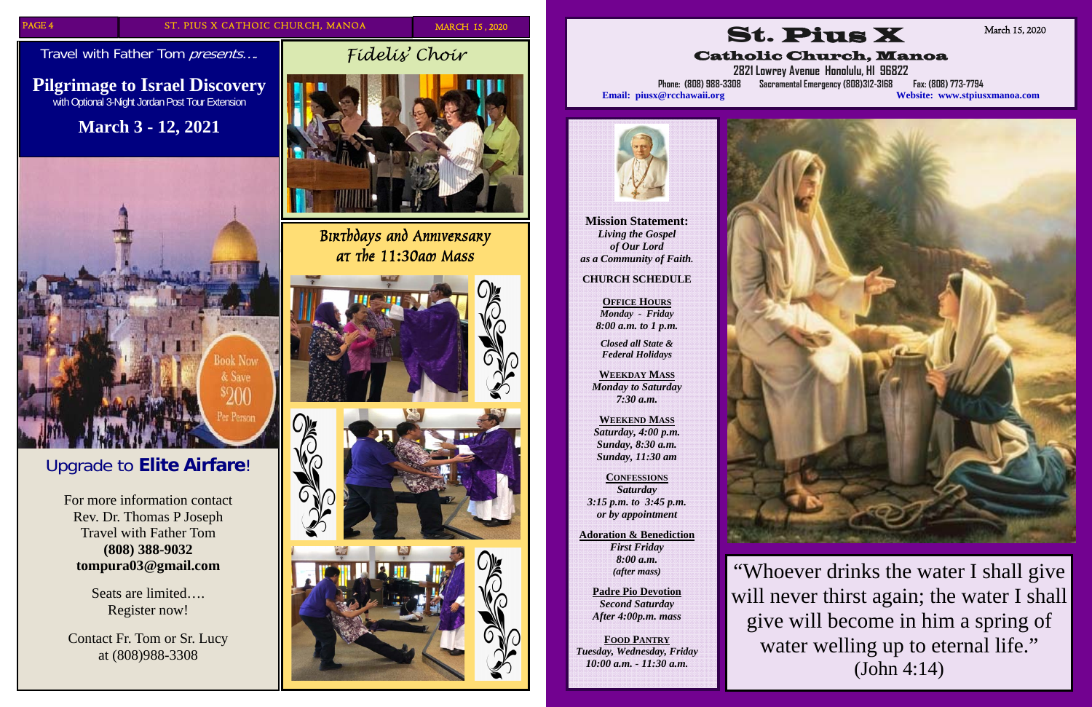PAGE 4 ST. PIUS X CATHOIC CHURCH, MANOA MARCH 15,2020

Travel with Father Tom presents....

# Upgrade to **Elite Airfare**!

For more information contact Rev. Dr. Thomas P Joseph Travel with Father Tom **(808) 388-9032 tompura03@gmail.com** 

> Seats are limited…. Register now!

Contact Fr. Tom or Sr. Lucy at (808)988-3308



# **Pilgrimage to Israel Discovery**  with Optional 3-Night Jordan Post Tour Extension

# **March 3 - 12, 2021**



*Fidelis' Choir* 

*Birthdays and Anniversary at the 11:30am Mass* 







**Mission Statement:**  *Living the Gospel of Our Lord as a Community of Faith.* 

#### **CHURCH SCHEDULE**

**OFFICE HOURS** *Monday - Friday 8:00 a.m. to 1 p.m.* 

*Closed all State & Federal Holidays* 

**WEEKDAY MASS** *Monday to Saturday 7:30 a.m.* 

**WEEKEND MASS** *Saturday, 4:00 p.m. Sunday, 8:30 a.m. Sunday, 11:30 am* 

**CONFESSIONS***Saturday 3:15 p.m. to 3:45 p.m. or by appointment* 

**Adoration & Benediction**  *First Friday 8:00 a.m. (after mass)* 

> **Padre Pio Devotion**  *Second Saturday After 4:00p.m. mass*

**FOOD PANTRY** *Tuesday, Wednesday, Friday 10:00 a.m. - 11:30 a.m.* 

St. Pius X

Catholic Church, Manoa



**2821 Lowrey Avenue Honolulu, HI 96822** 

**Phone: (808) 988-3308 Sacramental Emergency (808)312-3168 Fax: (808) 773-7794 Email: piusx@rcchawaii.org Website: www.stpiusxmanoa.com**



March 15, 2020

"Whoever drinks the water I shall give will never thirst again; the water I shall give will become in him a spring of water welling up to eternal life." (John 4:14)